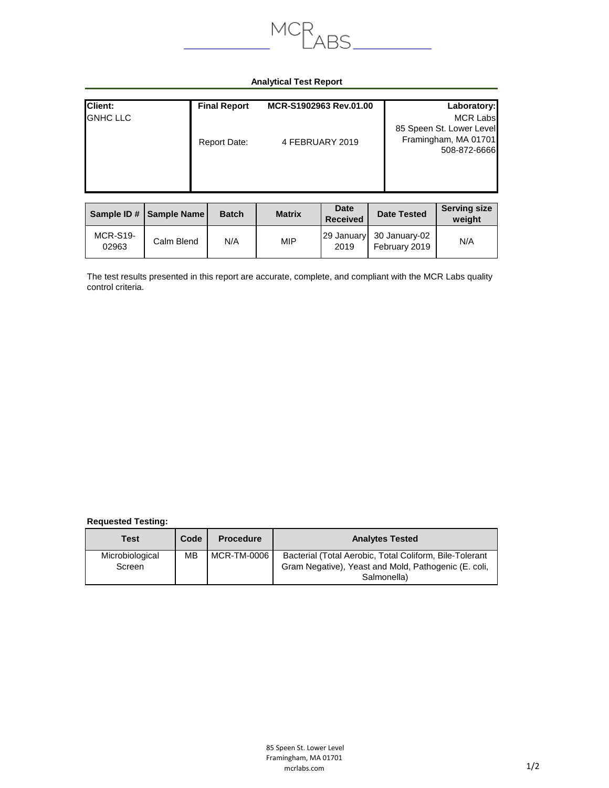

## **Analytical Test Report**

| <b>Client:</b>  | <b>Final Report</b> | MCR-S1902963 Rev.01.00 | Laboratory:                                                                         |
|-----------------|---------------------|------------------------|-------------------------------------------------------------------------------------|
| <b>GNHC LLC</b> | Report Date:        | 4 FEBRUARY 2019        | <b>MCR Labs</b><br>85 Speen St. Lower Level<br>Framingham, MA 01701<br>508-872-6666 |

|                          | Sample ID #   Sample Name | <b>Batch</b> | <b>Matrix</b> | <b>Date</b><br><b>Received</b> | <b>Date Tested</b>             | <b>Serving size</b><br>weight |
|--------------------------|---------------------------|--------------|---------------|--------------------------------|--------------------------------|-------------------------------|
| <b>MCR-S19-</b><br>02963 | Calm Blend                | N/A          | <b>MIP</b>    | 29 January<br>2019             | 30 January-02<br>February 2019 | N/A                           |

The test results presented in this report are accurate, complete, and compliant with the MCR Labs quality control criteria.

## **Requested Testing:**

| Test                      | Code | <b>Procedure</b> | <b>Analytes Tested</b>                                                                                                         |
|---------------------------|------|------------------|--------------------------------------------------------------------------------------------------------------------------------|
| Microbiological<br>Screen | MВ   | MCR-TM-0006      | Bacterial (Total Aerobic, Total Coliform, Bile-Tolerant<br>Gram Negative), Yeast and Mold, Pathogenic (E. coli,<br>Salmonella) |